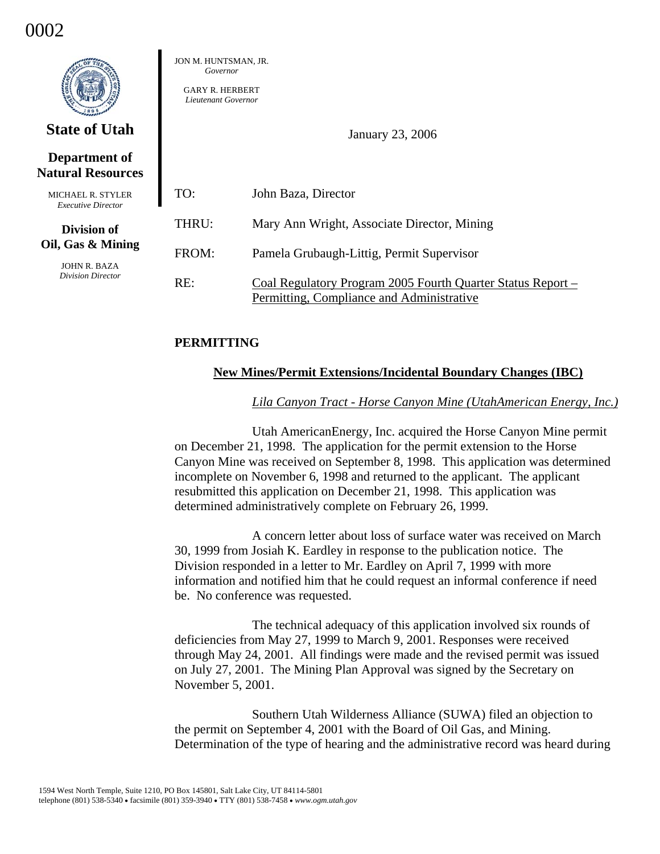# 0002

|                                                                              | JON M. HUNTSMAN, JR.<br>Governor<br><b>GARY R. HERBERT</b><br>Lieutenant Governor |                                                                                                          |  |  |  |  |
|------------------------------------------------------------------------------|-----------------------------------------------------------------------------------|----------------------------------------------------------------------------------------------------------|--|--|--|--|
| <b>State of Utah</b>                                                         | January 23, 2006                                                                  |                                                                                                          |  |  |  |  |
| Department of<br><b>Natural Resources</b>                                    |                                                                                   |                                                                                                          |  |  |  |  |
| <b>MICHAEL R. STYLER</b><br><b>Executive Director</b>                        | TO:                                                                               | John Baza, Director                                                                                      |  |  |  |  |
| Division of<br>Oil, Gas & Mining<br>JOHN R. BAZA<br><b>Division Director</b> | THRU:                                                                             | Mary Ann Wright, Associate Director, Mining                                                              |  |  |  |  |
|                                                                              | FROM:                                                                             | Pamela Grubaugh-Littig, Permit Supervisor                                                                |  |  |  |  |
|                                                                              | RE:                                                                               | Coal Regulatory Program 2005 Fourth Quarter Status Report –<br>Permitting, Compliance and Administrative |  |  |  |  |

## **PERMITTING**

## **New Mines/Permit Extensions/Incidental Boundary Changes (IBC)**

#### *Lila Canyon Tract - Horse Canyon Mine (UtahAmerican Energy, Inc.)*

 Utah AmericanEnergy, Inc. acquired the Horse Canyon Mine permit on December 21, 1998. The application for the permit extension to the Horse Canyon Mine was received on September 8, 1998. This application was determined incomplete on November 6, 1998 and returned to the applicant. The applicant resubmitted this application on December 21, 1998. This application was determined administratively complete on February 26, 1999.

 A concern letter about loss of surface water was received on March 30, 1999 from Josiah K. Eardley in response to the publication notice. The Division responded in a letter to Mr. Eardley on April 7, 1999 with more information and notified him that he could request an informal conference if need be. No conference was requested.

 The technical adequacy of this application involved six rounds of deficiencies from May 27, 1999 to March 9, 2001. Responses were received through May 24, 2001. All findings were made and the revised permit was issued on July 27, 2001. The Mining Plan Approval was signed by the Secretary on November 5, 2001.

 Southern Utah Wilderness Alliance (SUWA) filed an objection to the permit on September 4, 2001 with the Board of Oil Gas, and Mining. Determination of the type of hearing and the administrative record was heard during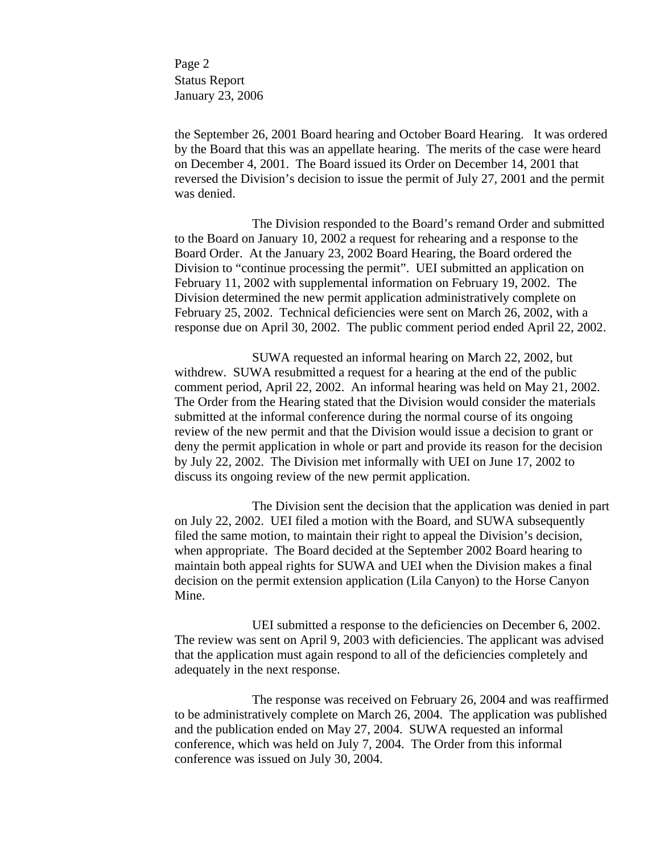Page 2 Status Report January 23, 2006

the September 26, 2001 Board hearing and October Board Hearing. It was ordered by the Board that this was an appellate hearing. The merits of the case were heard on December 4, 2001. The Board issued its Order on December 14, 2001 that reversed the Division's decision to issue the permit of July 27, 2001 and the permit was denied.

 The Division responded to the Board's remand Order and submitted to the Board on January 10, 2002 a request for rehearing and a response to the Board Order. At the January 23, 2002 Board Hearing, the Board ordered the Division to "continue processing the permit". UEI submitted an application on February 11, 2002 with supplemental information on February 19, 2002. The Division determined the new permit application administratively complete on February 25, 2002. Technical deficiencies were sent on March 26, 2002, with a response due on April 30, 2002. The public comment period ended April 22, 2002.

 SUWA requested an informal hearing on March 22, 2002, but withdrew. SUWA resubmitted a request for a hearing at the end of the public comment period, April 22, 2002. An informal hearing was held on May 21, 2002. The Order from the Hearing stated that the Division would consider the materials submitted at the informal conference during the normal course of its ongoing review of the new permit and that the Division would issue a decision to grant or deny the permit application in whole or part and provide its reason for the decision by July 22, 2002. The Division met informally with UEI on June 17, 2002 to discuss its ongoing review of the new permit application.

 The Division sent the decision that the application was denied in part on July 22, 2002. UEI filed a motion with the Board, and SUWA subsequently filed the same motion, to maintain their right to appeal the Division's decision, when appropriate. The Board decided at the September 2002 Board hearing to maintain both appeal rights for SUWA and UEI when the Division makes a final decision on the permit extension application (Lila Canyon) to the Horse Canyon Mine.

 UEI submitted a response to the deficiencies on December 6, 2002. The review was sent on April 9, 2003 with deficiencies. The applicant was advised that the application must again respond to all of the deficiencies completely and adequately in the next response.

 The response was received on February 26, 2004 and was reaffirmed to be administratively complete on March 26, 2004. The application was published and the publication ended on May 27, 2004. SUWA requested an informal conference, which was held on July 7, 2004. The Order from this informal conference was issued on July 30, 2004.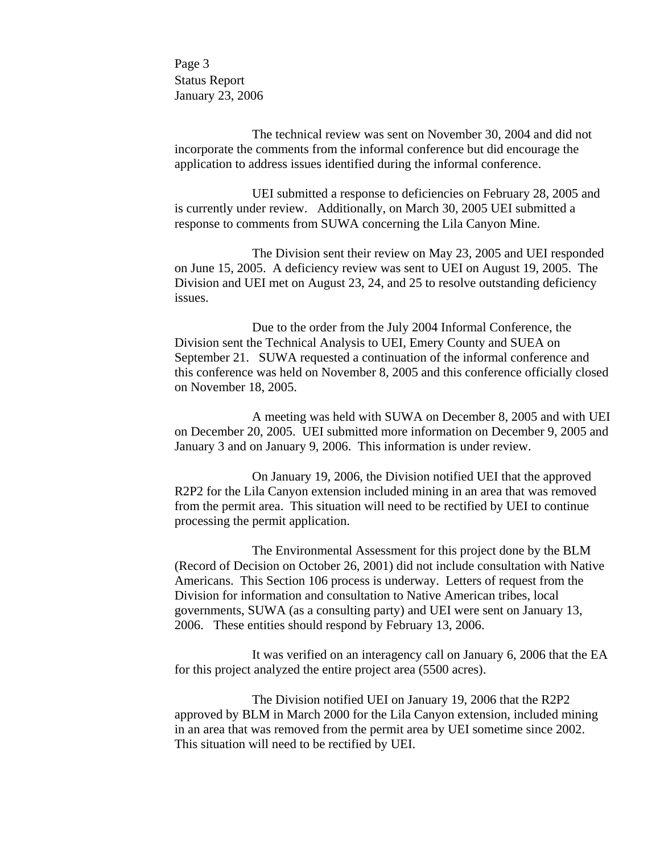Page 3 Status Report January 23, 2006

The technical review was sent on November 30, 2004 and did not incorporate the comments from the informal conference but did encourage the application to address issues identified during the informal conference.

UEI submitted a response to deficiencies on February 28, 2005 and is currently under review. Additionally, on March 30, 2005 UEI submitted a response to comments from SUWA concerning the Lila Canyon Mine.

The Division sent their review on May 23, 2005 and UEI responded on June 15, 2005. A deficiency review was sent to UEI on August 19, 2005. The Division and UEI met on August 23, 24, and 25 to resolve outstanding deficiency issues.

Due to the order from the July 2004 Informal Conference, the Division sent the Technical Analysis to UEI, Emery County and SUEA on September 21. SUWA requested a continuation of the informal conference and this conference was held on November 8, 2005 and this conference officially closed on November 18, 2005.

A meeting was held with SUWA on December 8, 2005 and with UEI on December 20, 2005. UEI submitted more information on December 9, 2005 and January 3 and on January 9, 2006. This information is under review.

On January 19, 2006, the Division notified UEI that the approved R2P2 for the Lila Canyon extension included mining in an area that was removed from the permit area. This situation will need to be rectified by UEI to continue processing the permit application.

The Environmental Assessment for this project done by the BLM (Record of Decision on October 26, 2001) did not include consultation with Native Americans. This Section 106 process is underway. Letters of request from the Division for information and consultation to Native American tribes, local governments, SUWA (as a consulting party) and UEI were sent on January 13, 2006. These entities should respond by February 13, 2006.

It was verified on an interagency call on January 6, 2006 that the EA for this project analyzed the entire project area (5500 acres).

 The Division notified UEI on January 19, 2006 that the R2P2 approved by BLM in March 2000 for the Lila Canyon extension, included mining in an area that was removed from the permit area by UEI sometime since 2002. This situation will need to be rectified by UEI.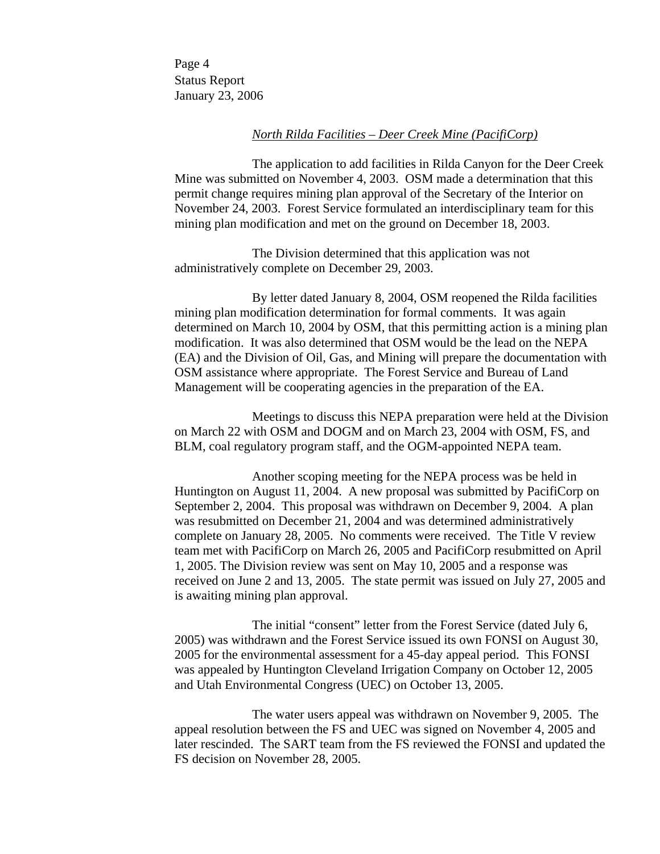Page 4 Status Report January 23, 2006

#### *North Rilda Facilities – Deer Creek Mine (PacifiCorp)*

 The application to add facilities in Rilda Canyon for the Deer Creek Mine was submitted on November 4, 2003. OSM made a determination that this permit change requires mining plan approval of the Secretary of the Interior on November 24, 2003. Forest Service formulated an interdisciplinary team for this mining plan modification and met on the ground on December 18, 2003.

The Division determined that this application was not administratively complete on December 29, 2003.

By letter dated January 8, 2004, OSM reopened the Rilda facilities mining plan modification determination for formal comments. It was again determined on March 10, 2004 by OSM, that this permitting action is a mining plan modification. It was also determined that OSM would be the lead on the NEPA (EA) and the Division of Oil, Gas, and Mining will prepare the documentation with OSM assistance where appropriate. The Forest Service and Bureau of Land Management will be cooperating agencies in the preparation of the EA.

Meetings to discuss this NEPA preparation were held at the Division on March 22 with OSM and DOGM and on March 23, 2004 with OSM, FS, and BLM, coal regulatory program staff, and the OGM-appointed NEPA team.

 Another scoping meeting for the NEPA process was be held in Huntington on August 11, 2004. A new proposal was submitted by PacifiCorp on September 2, 2004. This proposal was withdrawn on December 9, 2004. A plan was resubmitted on December 21, 2004 and was determined administratively complete on January 28, 2005. No comments were received. The Title V review team met with PacifiCorp on March 26, 2005 and PacifiCorp resubmitted on April 1, 2005. The Division review was sent on May 10, 2005 and a response was received on June 2 and 13, 2005. The state permit was issued on July 27, 2005 and is awaiting mining plan approval.

The initial "consent" letter from the Forest Service (dated July 6, 2005) was withdrawn and the Forest Service issued its own FONSI on August 30, 2005 for the environmental assessment for a 45-day appeal period. This FONSI was appealed by Huntington Cleveland Irrigation Company on October 12, 2005 and Utah Environmental Congress (UEC) on October 13, 2005.

The water users appeal was withdrawn on November 9, 2005. The appeal resolution between the FS and UEC was signed on November 4, 2005 and later rescinded. The SART team from the FS reviewed the FONSI and updated the FS decision on November 28, 2005.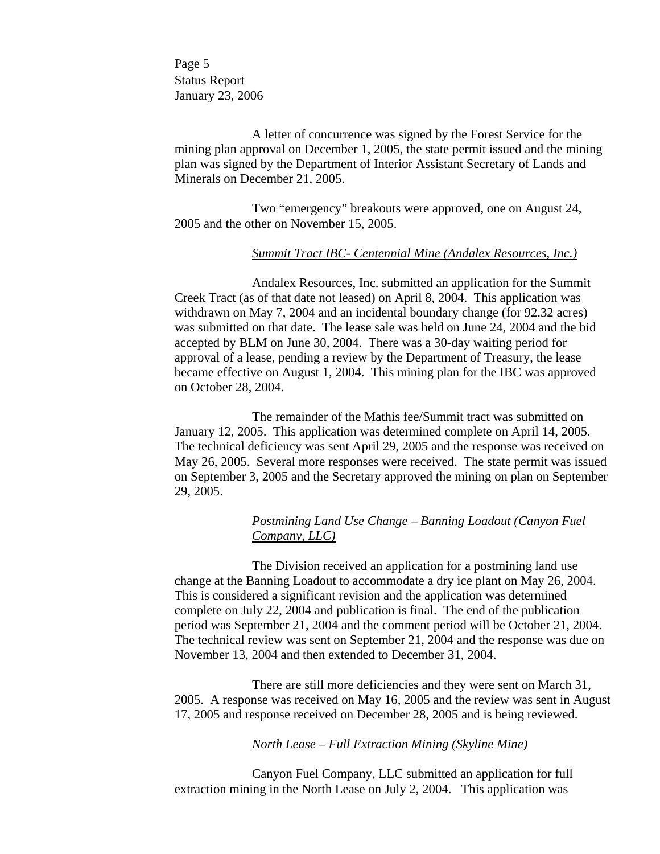Page 5 Status Report January 23, 2006

A letter of concurrence was signed by the Forest Service for the mining plan approval on December 1, 2005, the state permit issued and the mining plan was signed by the Department of Interior Assistant Secretary of Lands and Minerals on December 21, 2005.

Two "emergency" breakouts were approved, one on August 24, 2005 and the other on November 15, 2005.

## *Summit Tract IBC- Centennial Mine (Andalex Resources, Inc.)*

Andalex Resources, Inc. submitted an application for the Summit Creek Tract (as of that date not leased) on April 8, 2004. This application was withdrawn on May 7, 2004 and an incidental boundary change (for 92.32 acres) was submitted on that date. The lease sale was held on June 24, 2004 and the bid accepted by BLM on June 30, 2004. There was a 30-day waiting period for approval of a lease, pending a review by the Department of Treasury, the lease became effective on August 1, 2004. This mining plan for the IBC was approved on October 28, 2004.

The remainder of the Mathis fee/Summit tract was submitted on January 12, 2005. This application was determined complete on April 14, 2005. The technical deficiency was sent April 29, 2005 and the response was received on May 26, 2005. Several more responses were received. The state permit was issued on September 3, 2005 and the Secretary approved the mining on plan on September 29, 2005.

# *Postmining Land Use Change – Banning Loadout (Canyon Fuel Company, LLC)*

 The Division received an application for a postmining land use change at the Banning Loadout to accommodate a dry ice plant on May 26, 2004. This is considered a significant revision and the application was determined complete on July 22, 2004 and publication is final. The end of the publication period was September 21, 2004 and the comment period will be October 21, 2004. The technical review was sent on September 21, 2004 and the response was due on November 13, 2004 and then extended to December 31, 2004.

 There are still more deficiencies and they were sent on March 31, 2005. A response was received on May 16, 2005 and the review was sent in August 17, 2005 and response received on December 28, 2005 and is being reviewed.

## *North Lease – Full Extraction Mining (Skyline Mine)*

Canyon Fuel Company, LLC submitted an application for full extraction mining in the North Lease on July 2, 2004. This application was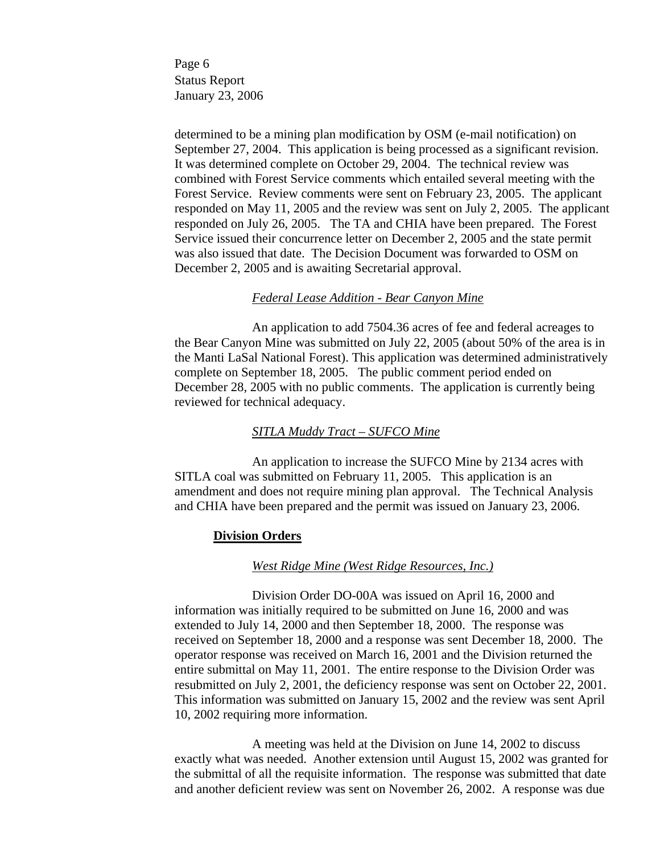Page 6 Status Report January 23, 2006

determined to be a mining plan modification by OSM (e-mail notification) on September 27, 2004. This application is being processed as a significant revision. It was determined complete on October 29, 2004. The technical review was combined with Forest Service comments which entailed several meeting with the Forest Service. Review comments were sent on February 23, 2005. The applicant responded on May 11, 2005 and the review was sent on July 2, 2005. The applicant responded on July 26, 2005. The TA and CHIA have been prepared. The Forest Service issued their concurrence letter on December 2, 2005 and the state permit was also issued that date. The Decision Document was forwarded to OSM on December 2, 2005 and is awaiting Secretarial approval.

## *Federal Lease Addition - Bear Canyon Mine*

An application to add 7504.36 acres of fee and federal acreages to the Bear Canyon Mine was submitted on July 22, 2005 (about 50% of the area is in the Manti LaSal National Forest). This application was determined administratively complete on September 18, 2005. The public comment period ended on December 28, 2005 with no public comments. The application is currently being reviewed for technical adequacy.

## *SITLA Muddy Tract – SUFCO Mine*

An application to increase the SUFCO Mine by 2134 acres with SITLA coal was submitted on February 11, 2005. This application is an amendment and does not require mining plan approval. The Technical Analysis and CHIA have been prepared and the permit was issued on January 23, 2006.

## **Division Orders**

## *West Ridge Mine (West Ridge Resources, Inc.)*

 Division Order DO-00A was issued on April 16, 2000 and information was initially required to be submitted on June 16, 2000 and was extended to July 14, 2000 and then September 18, 2000. The response was received on September 18, 2000 and a response was sent December 18, 2000. The operator response was received on March 16, 2001 and the Division returned the entire submittal on May 11, 2001. The entire response to the Division Order was resubmitted on July 2, 2001, the deficiency response was sent on October 22, 2001. This information was submitted on January 15, 2002 and the review was sent April 10, 2002 requiring more information.

 A meeting was held at the Division on June 14, 2002 to discuss exactly what was needed. Another extension until August 15, 2002 was granted for the submittal of all the requisite information. The response was submitted that date and another deficient review was sent on November 26, 2002. A response was due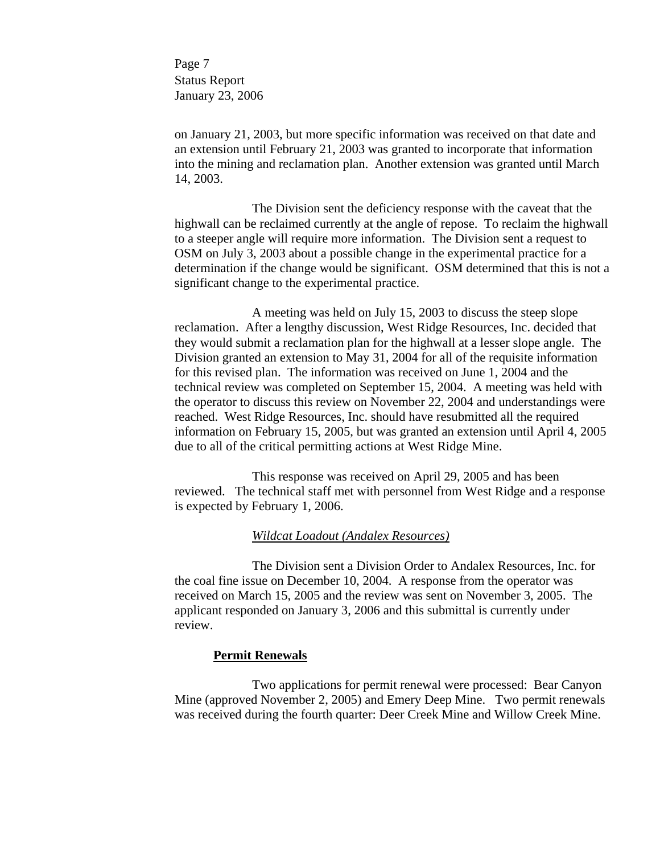Page 7 Status Report January 23, 2006

on January 21, 2003, but more specific information was received on that date and an extension until February 21, 2003 was granted to incorporate that information into the mining and reclamation plan. Another extension was granted until March 14, 2003.

 The Division sent the deficiency response with the caveat that the highwall can be reclaimed currently at the angle of repose. To reclaim the highwall to a steeper angle will require more information. The Division sent a request to OSM on July 3, 2003 about a possible change in the experimental practice for a determination if the change would be significant. OSM determined that this is not a significant change to the experimental practice.

 A meeting was held on July 15, 2003 to discuss the steep slope reclamation. After a lengthy discussion, West Ridge Resources, Inc. decided that they would submit a reclamation plan for the highwall at a lesser slope angle. The Division granted an extension to May 31, 2004 for all of the requisite information for this revised plan. The information was received on June 1, 2004 and the technical review was completed on September 15, 2004. A meeting was held with the operator to discuss this review on November 22, 2004 and understandings were reached. West Ridge Resources, Inc. should have resubmitted all the required information on February 15, 2005, but was granted an extension until April 4, 2005 due to all of the critical permitting actions at West Ridge Mine.

 This response was received on April 29, 2005 and has been reviewed. The technical staff met with personnel from West Ridge and a response is expected by February 1, 2006.

## *Wildcat Loadout (Andalex Resources)*

The Division sent a Division Order to Andalex Resources, Inc. for the coal fine issue on December 10, 2004. A response from the operator was received on March 15, 2005 and the review was sent on November 3, 2005. The applicant responded on January 3, 2006 and this submittal is currently under review.

## **Permit Renewals**

 Two applications for permit renewal were processed: Bear Canyon Mine (approved November 2, 2005) and Emery Deep Mine. Two permit renewals was received during the fourth quarter: Deer Creek Mine and Willow Creek Mine.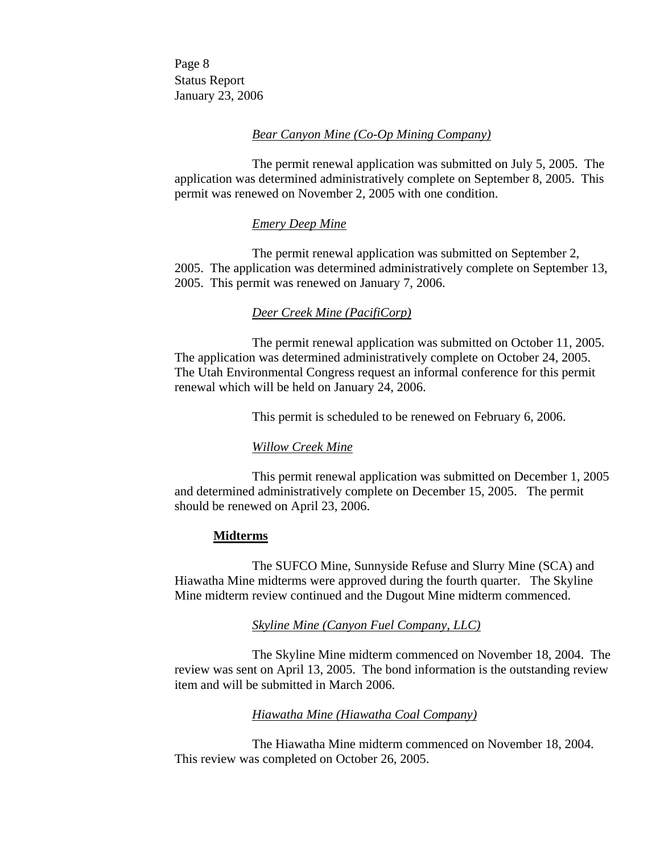Page 8 Status Report January 23, 2006

## *Bear Canyon Mine (Co-Op Mining Company)*

 The permit renewal application was submitted on July 5, 2005. The application was determined administratively complete on September 8, 2005. This permit was renewed on November 2, 2005 with one condition.

## *Emery Deep Mine*

 The permit renewal application was submitted on September 2, 2005. The application was determined administratively complete on September 13, 2005. This permit was renewed on January 7, 2006.

## *Deer Creek Mine (PacifiCorp)*

 The permit renewal application was submitted on October 11, 2005. The application was determined administratively complete on October 24, 2005. The Utah Environmental Congress request an informal conference for this permit renewal which will be held on January 24, 2006.

This permit is scheduled to be renewed on February 6, 2006.

## *Willow Creek Mine*

 This permit renewal application was submitted on December 1, 2005 and determined administratively complete on December 15, 2005. The permit should be renewed on April 23, 2006.

## **Midterms**

 The SUFCO Mine, Sunnyside Refuse and Slurry Mine (SCA) and Hiawatha Mine midterms were approved during the fourth quarter. The Skyline Mine midterm review continued and the Dugout Mine midterm commenced.

## *Skyline Mine (Canyon Fuel Company, LLC)*

 The Skyline Mine midterm commenced on November 18, 2004. The review was sent on April 13, 2005. The bond information is the outstanding review item and will be submitted in March 2006.

## *Hiawatha Mine (Hiawatha Coal Company)*

 The Hiawatha Mine midterm commenced on November 18, 2004. This review was completed on October 26, 2005.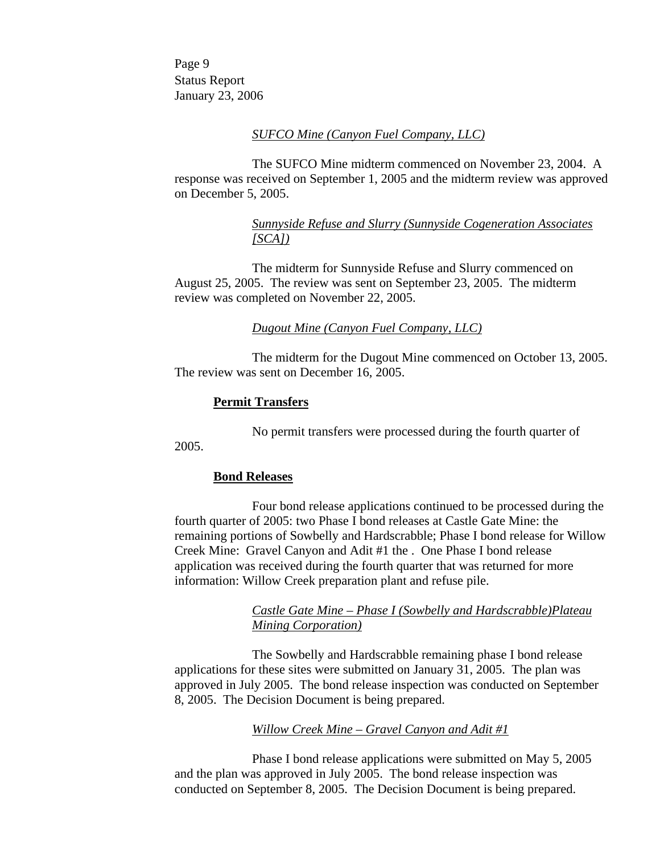Page 9 Status Report January 23, 2006

## *SUFCO Mine (Canyon Fuel Company, LLC)*

 The SUFCO Mine midterm commenced on November 23, 2004. A response was received on September 1, 2005 and the midterm review was approved on December 5, 2005.

# *Sunnyside Refuse and Slurry (Sunnyside Cogeneration Associates [SCA])*

 The midterm for Sunnyside Refuse and Slurry commenced on August 25, 2005. The review was sent on September 23, 2005. The midterm review was completed on November 22, 2005.

## *Dugout Mine (Canyon Fuel Company, LLC)*

 The midterm for the Dugout Mine commenced on October 13, 2005. The review was sent on December 16, 2005.

## **Permit Transfers**

No permit transfers were processed during the fourth quarter of

# **Bond Releases**

2005.

 Four bond release applications continued to be processed during the fourth quarter of 2005: two Phase I bond releases at Castle Gate Mine: the remaining portions of Sowbelly and Hardscrabble; Phase I bond release for Willow Creek Mine: Gravel Canyon and Adit #1 the . One Phase I bond release application was received during the fourth quarter that was returned for more information: Willow Creek preparation plant and refuse pile.

## *Castle Gate Mine – Phase I (Sowbelly and Hardscrabble)Plateau Mining Corporation)*

 The Sowbelly and Hardscrabble remaining phase I bond release applications for these sites were submitted on January 31, 2005. The plan was approved in July 2005. The bond release inspection was conducted on September 8, 2005. The Decision Document is being prepared.

# *Willow Creek Mine – Gravel Canyon and Adit #1*

 Phase I bond release applications were submitted on May 5, 2005 and the plan was approved in July 2005. The bond release inspection was conducted on September 8, 2005. The Decision Document is being prepared.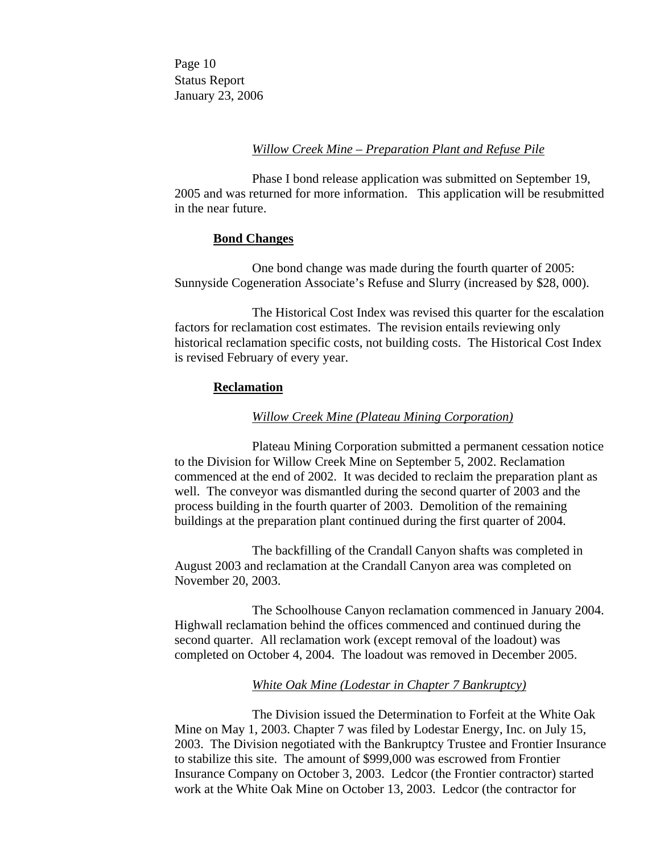Page 10 Status Report January 23, 2006

## *Willow Creek Mine – Preparation Plant and Refuse Pile*

 Phase I bond release application was submitted on September 19, 2005 and was returned for more information. This application will be resubmitted in the near future.

## **Bond Changes**

 One bond change was made during the fourth quarter of 2005: Sunnyside Cogeneration Associate's Refuse and Slurry (increased by \$28, 000).

The Historical Cost Index was revised this quarter for the escalation factors for reclamation cost estimates. The revision entails reviewing only historical reclamation specific costs, not building costs. The Historical Cost Index is revised February of every year.

## **Reclamation**

## *Willow Creek Mine (Plateau Mining Corporation)*

 Plateau Mining Corporation submitted a permanent cessation notice to the Division for Willow Creek Mine on September 5, 2002. Reclamation commenced at the end of 2002. It was decided to reclaim the preparation plant as well. The conveyor was dismantled during the second quarter of 2003 and the process building in the fourth quarter of 2003. Demolition of the remaining buildings at the preparation plant continued during the first quarter of 2004.

 The backfilling of the Crandall Canyon shafts was completed in August 2003 and reclamation at the Crandall Canyon area was completed on November 20, 2003.

The Schoolhouse Canyon reclamation commenced in January 2004. Highwall reclamation behind the offices commenced and continued during the second quarter. All reclamation work (except removal of the loadout) was completed on October 4, 2004. The loadout was removed in December 2005.

## *White Oak Mine (Lodestar in Chapter 7 Bankruptcy)*

 The Division issued the Determination to Forfeit at the White Oak Mine on May 1, 2003. Chapter 7 was filed by Lodestar Energy, Inc. on July 15, 2003. The Division negotiated with the Bankruptcy Trustee and Frontier Insurance to stabilize this site. The amount of \$999,000 was escrowed from Frontier Insurance Company on October 3, 2003. Ledcor (the Frontier contractor) started work at the White Oak Mine on October 13, 2003. Ledcor (the contractor for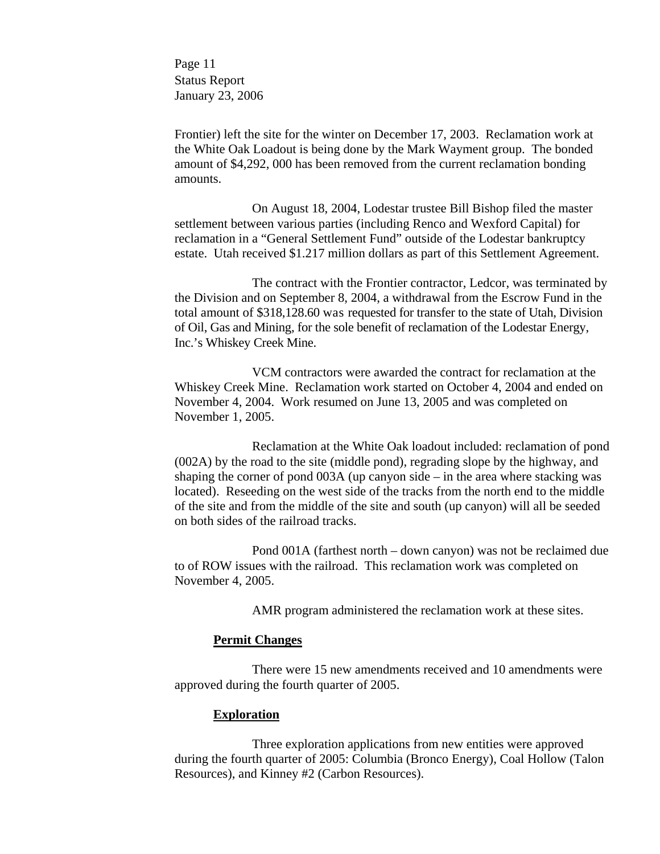Page 11 Status Report January 23, 2006

Frontier) left the site for the winter on December 17, 2003. Reclamation work at the White Oak Loadout is being done by the Mark Wayment group. The bonded amount of \$4,292, 000 has been removed from the current reclamation bonding amounts.

On August 18, 2004, Lodestar trustee Bill Bishop filed the master settlement between various parties (including Renco and Wexford Capital) for reclamation in a "General Settlement Fund" outside of the Lodestar bankruptcy estate. Utah received \$1.217 million dollars as part of this Settlement Agreement.

 The contract with the Frontier contractor, Ledcor, was terminated by the Division and on September 8, 2004, a withdrawal from the Escrow Fund in the total amount of \$318,128.60 was requested for transfer to the state of Utah, Division of Oil, Gas and Mining, for the sole benefit of reclamation of the Lodestar Energy, Inc.'s Whiskey Creek Mine.

VCM contractors were awarded the contract for reclamation at the Whiskey Creek Mine. Reclamation work started on October 4, 2004 and ended on November 4, 2004. Work resumed on June 13, 2005 and was completed on November 1, 2005.

Reclamation at the White Oak loadout included: reclamation of pond (002A) by the road to the site (middle pond), regrading slope by the highway, and shaping the corner of pond 003A (up canyon side – in the area where stacking was located). Reseeding on the west side of the tracks from the north end to the middle of the site and from the middle of the site and south (up canyon) will all be seeded on both sides of the railroad tracks.

Pond 001A (farthest north – down canyon) was not be reclaimed due to of ROW issues with the railroad. This reclamation work was completed on November 4, 2005.

AMR program administered the reclamation work at these sites.

# **Permit Changes**

 There were 15 new amendments received and 10 amendments were approved during the fourth quarter of 2005.

#### **Exploration**

 Three exploration applications from new entities were approved during the fourth quarter of 2005: Columbia (Bronco Energy), Coal Hollow (Talon Resources), and Kinney #2 (Carbon Resources).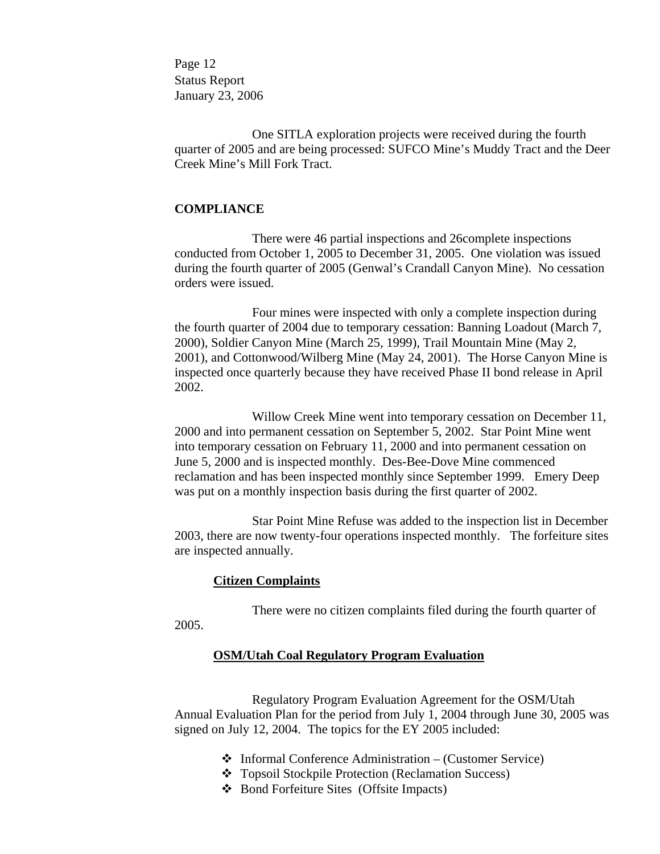Page 12 Status Report January 23, 2006

 One SITLA exploration projects were received during the fourth quarter of 2005 and are being processed: SUFCO Mine's Muddy Tract and the Deer Creek Mine's Mill Fork Tract.

## **COMPLIANCE**

 There were 46 partial inspections and 26complete inspections conducted from October 1, 2005 to December 31, 2005. One violation was issued during the fourth quarter of 2005 (Genwal's Crandall Canyon Mine). No cessation orders were issued.

 Four mines were inspected with only a complete inspection during the fourth quarter of 2004 due to temporary cessation: Banning Loadout (March 7, 2000), Soldier Canyon Mine (March 25, 1999), Trail Mountain Mine (May 2, 2001), and Cottonwood/Wilberg Mine (May 24, 2001). The Horse Canyon Mine is inspected once quarterly because they have received Phase II bond release in April 2002.

 Willow Creek Mine went into temporary cessation on December 11, 2000 and into permanent cessation on September 5, 2002. Star Point Mine went into temporary cessation on February 11, 2000 and into permanent cessation on June 5, 2000 and is inspected monthly. Des-Bee-Dove Mine commenced reclamation and has been inspected monthly since September 1999. Emery Deep was put on a monthly inspection basis during the first quarter of 2002.

 Star Point Mine Refuse was added to the inspection list in December 2003, there are now twenty-four operations inspected monthly. The forfeiture sites are inspected annually.

## **Citizen Complaints**

 There were no citizen complaints filed during the fourth quarter of 2005.

# **OSM/Utah Coal Regulatory Program Evaluation**

Regulatory Program Evaluation Agreement for the OSM/Utah Annual Evaluation Plan for the period from July 1, 2004 through June 30, 2005 was signed on July 12, 2004. The topics for the EY 2005 included:

- Informal Conference Administration (Customer Service)
- Topsoil Stockpile Protection (Reclamation Success)
- Bond Forfeiture Sites (Offsite Impacts)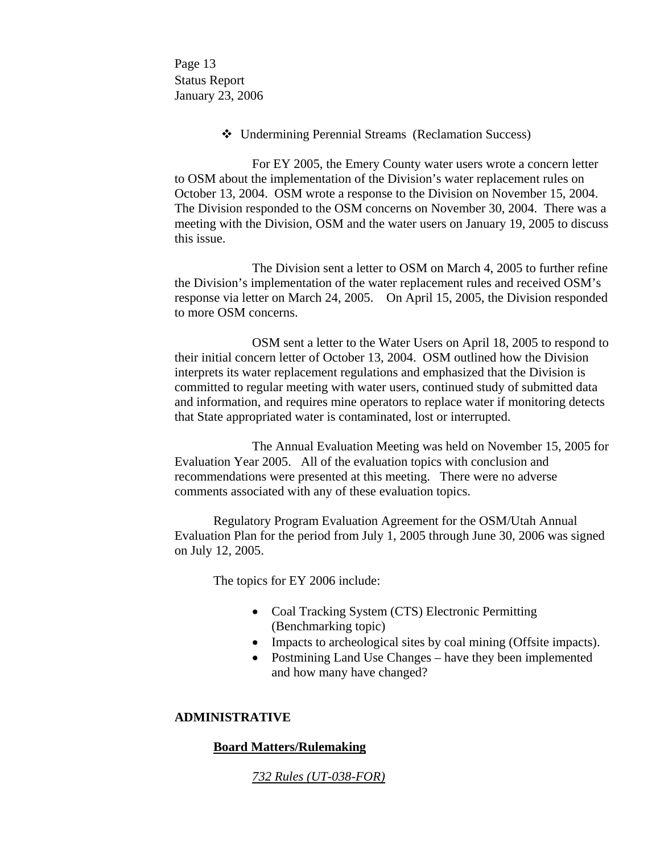Page 13 Status Report January 23, 2006

Undermining Perennial Streams (Reclamation Success)

 For EY 2005, the Emery County water users wrote a concern letter to OSM about the implementation of the Division's water replacement rules on October 13, 2004. OSM wrote a response to the Division on November 15, 2004. The Division responded to the OSM concerns on November 30, 2004. There was a meeting with the Division, OSM and the water users on January 19, 2005 to discuss this issue.

 The Division sent a letter to OSM on March 4, 2005 to further refine the Division's implementation of the water replacement rules and received OSM's response via letter on March 24, 2005. On April 15, 2005, the Division responded to more OSM concerns.

 OSM sent a letter to the Water Users on April 18, 2005 to respond to their initial concern letter of October 13, 2004. OSM outlined how the Division interprets its water replacement regulations and emphasized that the Division is committed to regular meeting with water users, continued study of submitted data and information, and requires mine operators to replace water if monitoring detects that State appropriated water is contaminated, lost or interrupted.

 The Annual Evaluation Meeting was held on November 15, 2005 for Evaluation Year 2005. All of the evaluation topics with conclusion and recommendations were presented at this meeting. There were no adverse comments associated with any of these evaluation topics.

Regulatory Program Evaluation Agreement for the OSM/Utah Annual Evaluation Plan for the period from July 1, 2005 through June 30, 2006 was signed on July 12, 2005.

The topics for EY 2006 include:

- Coal Tracking System (CTS) Electronic Permitting (Benchmarking topic)
- Impacts to archeological sites by coal mining (Offsite impacts).
- Postmining Land Use Changes have they been implemented and how many have changed?

## **ADMINISTRATIVE**

## **Board Matters/Rulemaking**

*732 Rules (UT-038-FOR)*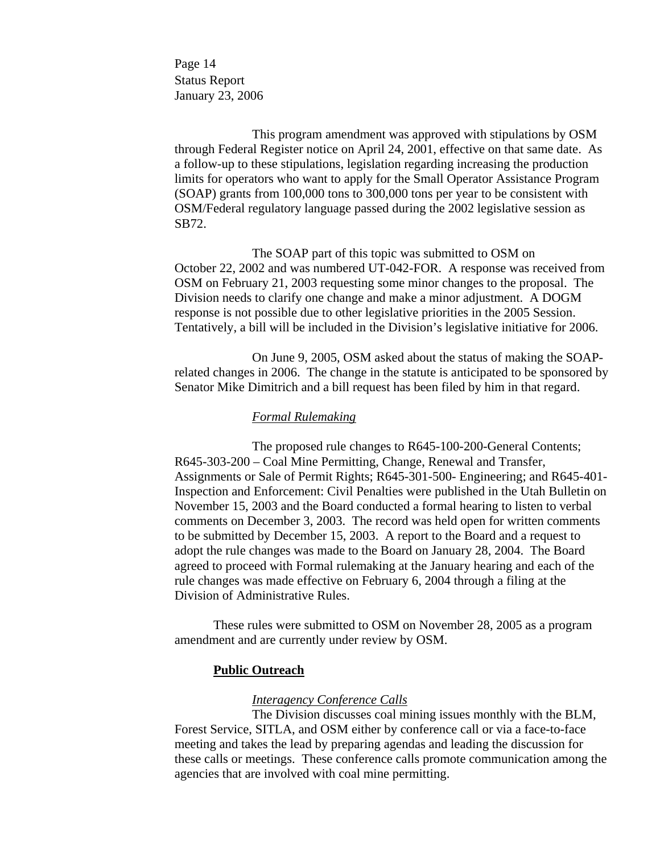Page 14 Status Report January 23, 2006

 This program amendment was approved with stipulations by OSM through Federal Register notice on April 24, 2001, effective on that same date. As a follow-up to these stipulations, legislation regarding increasing the production limits for operators who want to apply for the Small Operator Assistance Program (SOAP) grants from 100,000 tons to 300,000 tons per year to be consistent with OSM/Federal regulatory language passed during the 2002 legislative session as SB72.

 The SOAP part of this topic was submitted to OSM on October 22, 2002 and was numbered UT-042-FOR. A response was received from OSM on February 21, 2003 requesting some minor changes to the proposal. The Division needs to clarify one change and make a minor adjustment. A DOGM response is not possible due to other legislative priorities in the 2005 Session. Tentatively, a bill will be included in the Division's legislative initiative for 2006.

 On June 9, 2005, OSM asked about the status of making the SOAPrelated changes in 2006. The change in the statute is anticipated to be sponsored by Senator Mike Dimitrich and a bill request has been filed by him in that regard.

## *Formal Rulemaking*

 The proposed rule changes to R645-100-200-General Contents; R645-303-200 – Coal Mine Permitting, Change, Renewal and Transfer, Assignments or Sale of Permit Rights; R645-301-500- Engineering; and R645-401- Inspection and Enforcement: Civil Penalties were published in the Utah Bulletin on November 15, 2003 and the Board conducted a formal hearing to listen to verbal comments on December 3, 2003. The record was held open for written comments to be submitted by December 15, 2003. A report to the Board and a request to adopt the rule changes was made to the Board on January 28, 2004. The Board agreed to proceed with Formal rulemaking at the January hearing and each of the rule changes was made effective on February 6, 2004 through a filing at the Division of Administrative Rules.

These rules were submitted to OSM on November 28, 2005 as a program amendment and are currently under review by OSM.

## **Public Outreach**

## *Interagency Conference Calls*

 The Division discusses coal mining issues monthly with the BLM, Forest Service, SITLA, and OSM either by conference call or via a face-to-face meeting and takes the lead by preparing agendas and leading the discussion for these calls or meetings. These conference calls promote communication among the agencies that are involved with coal mine permitting.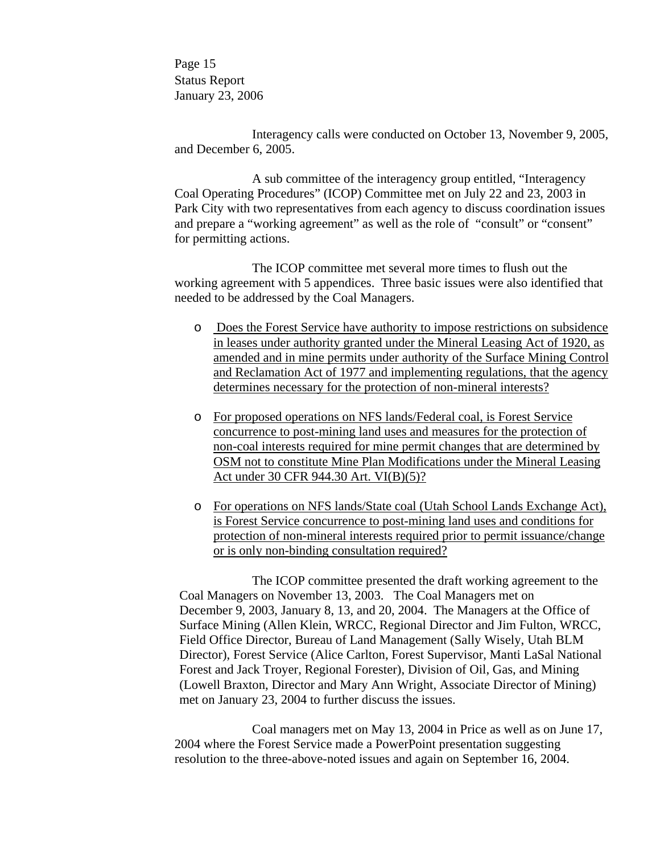Page 15 Status Report January 23, 2006

 Interagency calls were conducted on October 13, November 9, 2005, and December 6, 2005.

 A sub committee of the interagency group entitled, "Interagency Coal Operating Procedures" (ICOP) Committee met on July 22 and 23, 2003 in Park City with two representatives from each agency to discuss coordination issues and prepare a "working agreement" as well as the role of "consult" or "consent" for permitting actions.

 The ICOP committee met several more times to flush out the working agreement with 5 appendices. Three basic issues were also identified that needed to be addressed by the Coal Managers.

- o Does the Forest Service have authority to impose restrictions on subsidence in leases under authority granted under the Mineral Leasing Act of 1920, as amended and in mine permits under authority of the Surface Mining Control and Reclamation Act of 1977 and implementing regulations, that the agency determines necessary for the protection of non-mineral interests?
- o For proposed operations on NFS lands/Federal coal, is Forest Service concurrence to post-mining land uses and measures for the protection of non-coal interests required for mine permit changes that are determined by OSM not to constitute Mine Plan Modifications under the Mineral Leasing Act under 30 CFR 944.30 Art. VI(B)(5)?
- o For operations on NFS lands/State coal (Utah School Lands Exchange Act), is Forest Service concurrence to post-mining land uses and conditions for protection of non-mineral interests required prior to permit issuance/change or is only non-binding consultation required?

The ICOP committee presented the draft working agreement to the Coal Managers on November 13, 2003. The Coal Managers met on December 9, 2003, January 8, 13, and 20, 2004. The Managers at the Office of Surface Mining (Allen Klein, WRCC, Regional Director and Jim Fulton, WRCC, Field Office Director, Bureau of Land Management (Sally Wisely, Utah BLM Director), Forest Service (Alice Carlton, Forest Supervisor, Manti LaSal National Forest and Jack Troyer, Regional Forester), Division of Oil, Gas, and Mining (Lowell Braxton, Director and Mary Ann Wright, Associate Director of Mining) met on January 23, 2004 to further discuss the issues.

Coal managers met on May 13, 2004 in Price as well as on June 17, 2004 where the Forest Service made a PowerPoint presentation suggesting resolution to the three-above-noted issues and again on September 16, 2004.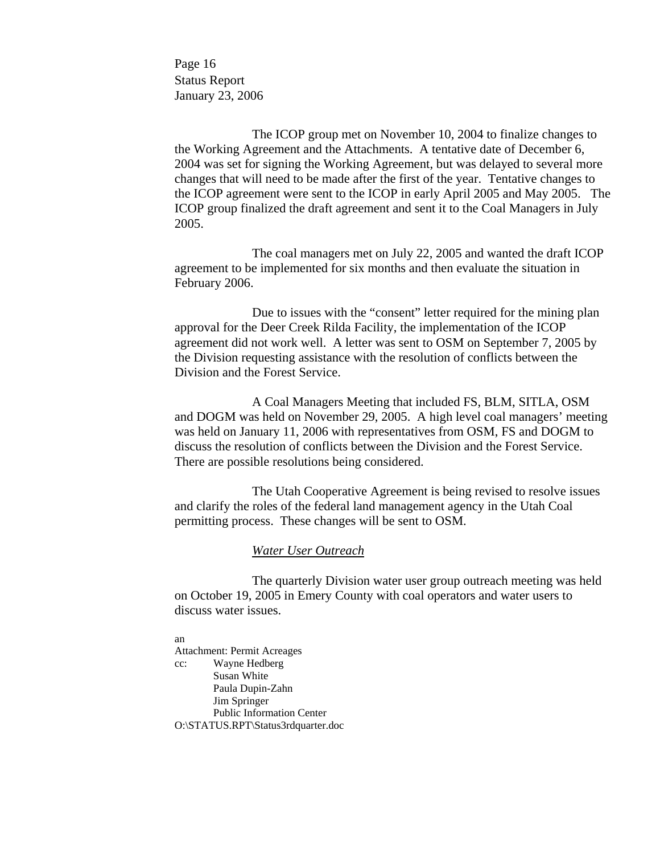Page 16 Status Report January 23, 2006

 The ICOP group met on November 10, 2004 to finalize changes to the Working Agreement and the Attachments. A tentative date of December 6, 2004 was set for signing the Working Agreement, but was delayed to several more changes that will need to be made after the first of the year. Tentative changes to the ICOP agreement were sent to the ICOP in early April 2005 and May 2005. The ICOP group finalized the draft agreement and sent it to the Coal Managers in July 2005.

 The coal managers met on July 22, 2005 and wanted the draft ICOP agreement to be implemented for six months and then evaluate the situation in February 2006.

 Due to issues with the "consent" letter required for the mining plan approval for the Deer Creek Rilda Facility, the implementation of the ICOP agreement did not work well. A letter was sent to OSM on September 7, 2005 by the Division requesting assistance with the resolution of conflicts between the Division and the Forest Service.

 A Coal Managers Meeting that included FS, BLM, SITLA, OSM and DOGM was held on November 29, 2005. A high level coal managers' meeting was held on January 11, 2006 with representatives from OSM, FS and DOGM to discuss the resolution of conflicts between the Division and the Forest Service. There are possible resolutions being considered.

 The Utah Cooperative Agreement is being revised to resolve issues and clarify the roles of the federal land management agency in the Utah Coal permitting process. These changes will be sent to OSM.

## *Water User Outreach*

 The quarterly Division water user group outreach meeting was held on October 19, 2005 in Emery County with coal operators and water users to discuss water issues.

#### an

Attachment: Permit Acreages cc: Wayne Hedberg Susan White Paula Dupin-Zahn Jim Springer Public Information Center O:\STATUS.RPT\Status3rdquarter.doc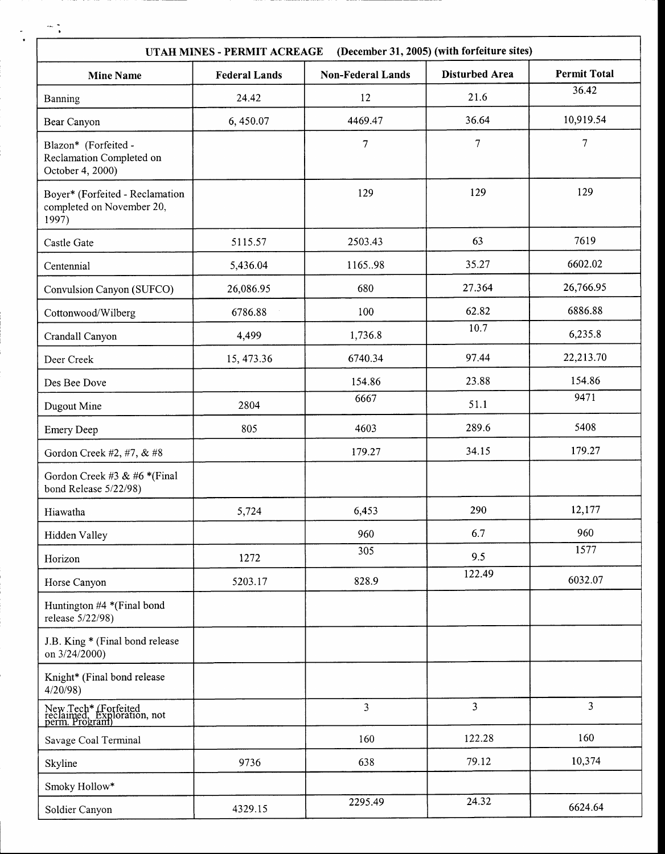| (December 31, 2005) (with forfeiture sites)<br><b>UTAH MINES - PERMIT ACREAGE</b> |                      |                          |                       |                     |  |  |
|-----------------------------------------------------------------------------------|----------------------|--------------------------|-----------------------|---------------------|--|--|
| <b>Mine Name</b>                                                                  | <b>Federal Lands</b> | <b>Non-Federal Lands</b> | <b>Disturbed Area</b> | <b>Permit Total</b> |  |  |
| Banning                                                                           | 24.42                | 12                       | 21.6                  | 36.42               |  |  |
| Bear Canyon                                                                       | 6,450.07             | 4469.47                  | 36.64                 | 10,919.54           |  |  |
| Blazon* (Forfeited -<br>Reclamation Completed on<br>October 4, 2000)              |                      | $\overline{7}$           | $\tau$                | $\overline{7}$      |  |  |
| Boyer* (Forfeited - Reclamation<br>completed on November 20,<br>1997              |                      | 129                      | 129                   | 129                 |  |  |
| Castle Gate                                                                       | 5115.57              | 2503.43                  | 63                    | 7619                |  |  |
| Centennial                                                                        | 5,436.04             | 116598                   | 35.27                 | 6602.02             |  |  |
| Convulsion Canyon (SUFCO)                                                         | 26,086.95            | 680                      | 27.364                | 26,766.95           |  |  |
| Cottonwood/Wilberg                                                                | 6786.88              | 100                      | 62.82                 | 6886.88             |  |  |
| Crandall Canyon                                                                   | 4,499                | 1,736.8                  | 10.7                  | 6,235.8             |  |  |
| Deer Creek                                                                        | 15, 473.36           | 6740.34                  | 97.44                 | 22,213.70           |  |  |
| Des Bee Dove                                                                      |                      | 154.86                   | 23.88                 | 154.86              |  |  |
| Dugout Mine                                                                       | 2804                 | 6667                     | 51.1                  | 9471                |  |  |
| <b>Emery Deep</b>                                                                 | 805                  | 4603                     | 289.6                 | 5408                |  |  |
| Gordon Creek #2, #7, & #8                                                         |                      | 179.27                   | 34.15                 | 179.27              |  |  |
| Gordon Creek #3 & #6 *(Final<br>bond Release 5/22/98)                             |                      |                          |                       |                     |  |  |
| Hiawatha                                                                          | 5,724                | 6,453                    | 290                   | 12,177              |  |  |
| Hidden Valley                                                                     |                      | 960                      | 6.7                   | 960                 |  |  |
| Horizon                                                                           | 1272                 | 305                      | 9.5                   | 1577                |  |  |
| Horse Canyon                                                                      | 5203.17              | 828.9                    | 122.49                | 6032.07             |  |  |
| Huntington #4 *(Final bond<br>release 5/22/98)                                    |                      |                          |                       |                     |  |  |
| J.B. King * (Final bond release<br>on 3/24/2000)                                  |                      |                          |                       |                     |  |  |
| Knight* (Final bond release<br>$4/20/98$ )                                        |                      |                          |                       |                     |  |  |
| New Tech* (Forfeited<br>reclaimed, Exploration, not<br>perm. Program)             |                      | $\overline{3}$           | $\overline{3}$        | $\overline{3}$      |  |  |
| Savage Coal Terminal                                                              |                      | 160                      | 122.28                | 160                 |  |  |
| Skyline                                                                           | 9736                 | 638                      | 79.12                 | 10,374              |  |  |
| Smoky Hollow*                                                                     |                      |                          |                       |                     |  |  |
| Soldier Canyon                                                                    | 4329.15              | 2295.49                  | 24.32                 | 6624.64             |  |  |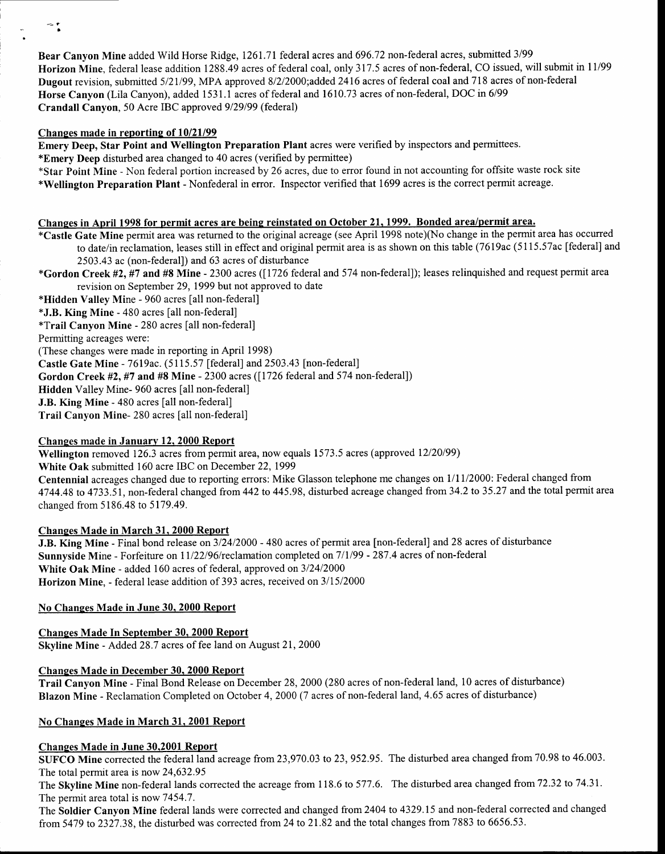Bear Canyon Mine added Wild Horse Ridge, 1261.71 federal acres and 696.72 non-federal acres, submitted 3/99 Horizon Mine, federal lease addition 1288.49 acres of federal coal, only 317.5 acres of non-federal, CO issued, will submit in 11/99 Dugout revision, submitted 5/21/99, MPA approved 8/2/2000;added 2416 acres of federal coal and 718 acres of non-federal Horse Canyon (Lila Canyon), added 1531.1 acres of federal and 1610.73 acres of non-federal, DOC in 6/99 Crandall Canyon, 50 Acre IBC approved 9/29/99 (fedenl)

#### Changes made in reporting of  $10/21/99$

Emery Deep, Star Point and Wellington Preparation Plant acres were verified by inspectors and permittees.

\*Emery Deep disturbed area changed to 40 acres (verifred by permittee)

\*Star Point Mine - Non federal portion increased by 26 acres, due to eror found in not accounting for offsite waste rock site +Wellington Preparation Plant - Nonfederal in error. Inspector verified that 1699 acres is the corect permit acreage.

#### Changes in April 1998 for permit acres are being reinstated on October 21, 1999. Bonded area/permit area.

\*Castle Gate Mine permit area was returned to the original acreage (see April 1998 note)(No change in the permit area has occurred to date/in reclamation, leases still in effect and original permit area is as shown on this table (7619ac (5115.57ac [federal] and 2503.43 ac (non-federal]) and 63 acres of disturbance

\*Gordon Creek #2, #7 and #8 Mine - 2300 acres ([1726 federal and 574 non-federal]); leases relinquished and request permit area revision on September 29, 1999 but not approved to date

\*Hidden Valley Mine - 960 acres fall non-federal]

\*J.8, King Mine - 480 acres [all non-federal] +Trail Canyon Mine - 280 acres fall non-federal]

Permitting acreages were:

(These changes were made in reporting in April 1998)

Castle Gate Mine - 7619ac. (5115.57 [federal] and 2503.43 [non-federal]

Gordon Creek #2, #7 and #8 Mine - 2300 acres ([1726 federal and 574 non-federal])

Hidden Valley Mine- 960 acres [all non-federal]

J.B. King Mine - 480 acres [all non-federal]

Trail Canyon Mine- 280 acres [all non-federal]

#### Changes made in Januarv 12. 2000 Report

Wellington removed 126.3 acres from permit area, now equals 1573.5 acres (approved 12/20/99) White Oak submitted 160 acre IBC on December 22, 1999

Centennial acreages changed due to reporting errors: Mike Glasson telephone me changes on 1/11/2000: Federal chaaged ftom 4744.48 to 4733.51, non-federal changed from 442 to 445.98, disturbed acreage changed from 34.2 to 35.27 and the total permit area changed from 5186.48 to 5179.49.

## Changes Made in March 31, 2000 Report

J.B. King Mine - Final bond release on 3/24/2000 - 480 acres of permit area [non-federal] and 28 acres of disturbance Sunnyside Mine - Forfeiture on 11/22/96/reclamation completed on 7/1/99 - 287.4 acres of non-federal White Oak Mine - added 160 acres of federal, approved on  $3/24/2000$ Horizon Mine, - federal lease addition of 393 acres, received on 3/15/2000

#### No Chanqes Made in June 30. 2000 Report

Changes Made In September 30, 2000 Report Skyline Mine - Added 28.7 acres of fee land on August 21, 2000

## Changes Made in December 30, 2000 Report

Trail Canyon Mine - Final Bond Release on December 28, 2000 (280 acres of non-federal land, 10 acres of disturbance) Blazon Mine - Reclamation Completed on October 4, 2000 (7 acres of non-federal land, 4.65 acres of disturbance)

## No Changes Made in March 31, 2001 Report

## Changes Made in June 30,2001 Report

SUFCO Mine corrected the federal land acreage from 23,970.03 to 23, 952.95. The disturbed area changed from 70.98 to 46.003. The total permit area is now 24,632.95

The Skyline Mine non-federal lands corrected the acreage from 118.6 to 577.6. The disturbed area changed from 72.32 to 74.31. The permit area total is now 7454.7

The Soldier Canyon Mine federal lands were corrected and changed from 2404 to 4329.15 and non-federal corrected and changed from 5479 to 2327.38, the disturbed was corrected from 24 to 21.82 and the total changes from 7883 to 6656.53.